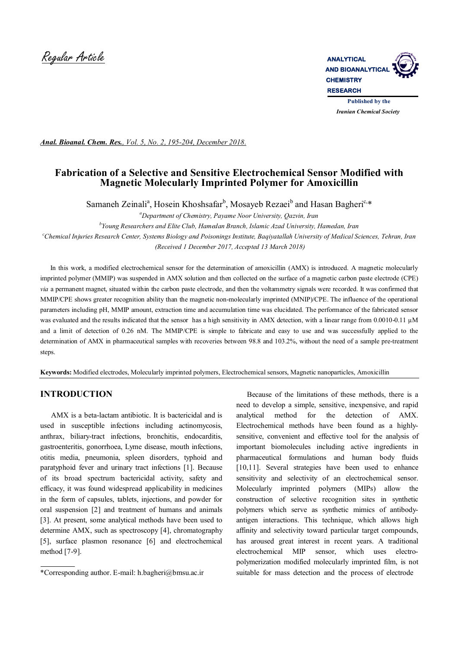

*Iranian Chemical Society* 

*Anal. Bioanal. Chem. Res., Vol. 5, No. 2, 195-204, December 2018.*

# **Fabrication of a Selective and Sensitive Electrochemical Sensor Modified with Magnetic Molecularly Imprinted Polymer for Amoxicillin**

Samaneh Zeinali<sup>a</sup>, Hosein Khoshsafar<sup>b</sup>, Mosayeb Rezaei<sup>b</sup> and Hasan Bagheri<sup>c,\*</sup>

*<sup>a</sup>Department of Chemistry, Payame Noor University, Qazvin, Iran b Young Researchers and Elite Club, Hamedan Branch, Islamic Azad University, Hamedan, Iran <sup>c</sup>Chemical Injuries Research Center, Systems Biology and Poisonings Institute, Baqiyatallah University of Medical Sciences, Tehran, Iran (Received 1 December 2017, Accepted 13 March 2018)*

 In this work, a modified electrochemical sensor for the determination of amoxicillin (AMX) is introduced. A magnetic molecularly imprinted polymer (MMIP) was suspended in AMX solution and then collected on the surface of a magnetic carbon paste electrode (CPE) *via* a permanent magnet, situated within the carbon paste electrode, and then the voltammetry signals were recorded. It was confirmed that MMIP/CPE shows greater recognition ability than the magnetic non-molecularly imprinted (MNIP)/CPE. The influence of the operational parameters including pH, MMIP amount, extraction time and accumulation time was elucidated. The performance of the fabricated sensor was evaluated and the results indicated that the sensor has a high sensitivity in AMX detection, with a linear range from 0.0010-0.11 µM and a limit of detection of 0.26 nM. The MMIP/CPE is simple to fabricate and easy to use and was successfully applied to the determination of AMX in pharmaceutical samples with recoveries between 98.8 and 103.2%, without the need of a sample pre-treatment steps.

**Keywords:** Modified electrodes, Molecularly imprinted polymers, Electrochemical sensors, Magnetic nanoparticles, Amoxicillin

# **INTRODUCTION**

 AMX is a beta-lactam antibiotic. It is bactericidal and is used in susceptible infections including actinomycosis, anthrax, biliary-tract infections, bronchitis, endocarditis, gastroenteritis, gonorrhoea, Lyme disease, mouth infections, otitis media, pneumonia, spleen disorders, typhoid and paratyphoid fever and urinary tract infections [1]. Because of its broad spectrum bactericidal activity, safety and efficacy, it was found widespread applicability in medicines in the form of capsules, tablets, injections, and powder for oral suspension [2] and treatment of humans and animals [3]. At present, some analytical methods have been used to determine AMX, such as spectroscopy [4], chromatography [5], surface plasmon resonance [6] and electrochemical method [7-9].

 Because of the limitations of these methods, there is a need to develop a simple, sensitive, inexpensive, and rapid analytical method for the detection of AMX. Electrochemical methods have been found as a highlysensitive, convenient and effective tool for the analysis of important biomolecules including active ingredients in pharmaceutical formulations and human body fluids [10,11]. Several strategies have been used to enhance sensitivity and selectivity of an electrochemical sensor. Molecularly imprinted polymers (MIPs) allow the construction of selective recognition sites in synthetic polymers which serve as synthetic mimics of antibodyantigen interactions. This technique, which allows high affinity and selectivity toward particular target compounds, has aroused great interest in recent years. A traditional electrochemical MIP sensor, which uses electropolymerization modified molecularly imprinted film, is not suitable for mass detection and the process of electrode

<sup>\*</sup>Corresponding author. E-mail: h.bagheri@bmsu.ac.ir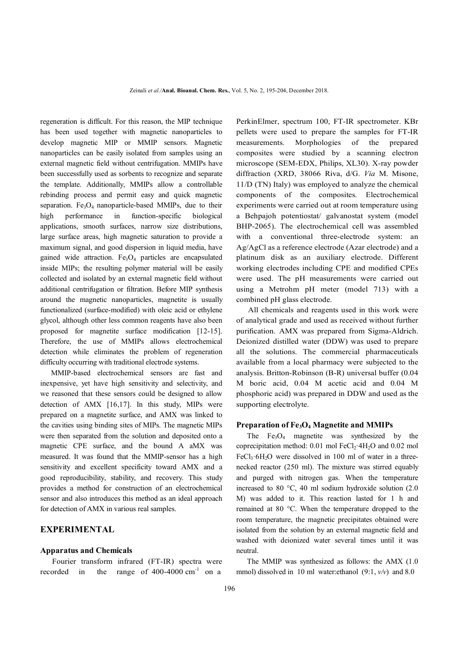regeneration is difficult. For this reason, the MIP technique has been used together with magnetic nanoparticles to develop magnetic MIP or MMIP sensors. Magnetic nanoparticles can be easily isolated from samples using an external magnetic field without centrifugation. MMIPs have been successfully used as sorbents to recognize and separate the template. Additionally, MMIPs allow a controllable rebinding process and permit easy and quick magnetic separation. Fe<sub>3</sub>O<sub>4</sub> nanoparticle-based MMIPs, due to their high performance in function-specific biological applications, smooth surfaces, narrow size distributions, large surface areas, high magnetic saturation to provide a maximum signal, and good dispersion in liquid media, have gained wide attraction.  $Fe<sub>3</sub>O<sub>4</sub>$  particles are encapsulated inside MIPs; the resulting polymer material will be easily collected and isolated by an external magnetic field without additional centrifugation or filtration. Before MIP synthesis around the magnetic nanoparticles, magnetite is usually functionalized (surface-modified) with oleic acid or ethylene glycol, although other less common reagents have also been proposed for magnetite surface modification [12-15]. Therefore, the use of MMIPs allows electrochemical detection while eliminates the problem of regeneration difficulty occurring with traditional electrode systems.

 MMIP-based electrochemical sensors are fast and inexpensive, yet have high sensitivity and selectivity, and we reasoned that these sensors could be designed to allow detection of AMX [16,17]. In this study, MIPs were prepared on a magnetite surface, and AMX was linked to the cavities using binding sites of MIPs. The magnetic MIPs were then separated from the solution and deposited onto a magnetic CPE surface, and the bound A aMX was measured. It was found that the MMIP-sensor has a high sensitivity and excellent specificity toward AMX and a good reproducibility, stability, and recovery. This study provides a method for construction of an electrochemical sensor and also introduces this method as an ideal approach for detection of AMX in various real samples.

## **EXPERIMENTAL**

#### **Apparatus and Chemicals**

 Fourier transform infrared (FT-IR) spectra were recorded in the range of  $400-4000 \text{ cm}^{-1}$  on a

PerkinElmer, spectrum 100, FT-IR spectrometer. KBr pellets were used to prepare the samples for FT-IR measurements. Morphologies of the prepared composites were studied by a scanning electron microscope (SEM-EDX, Philips, XL30). X-ray powder diffraction (XRD, 38066 Riva, d/G. *Via* M. Misone, 11/D (TN) Italy) was employed to analyze the chemical components of the composites. Electrochemical experiments were carried out at room temperature using a Behpajoh potentiostat/ galvanostat system (model BHP-2065). The electrochemical cell was assembled with a conventional three-electrode system: an Ag/AgCl as a reference electrode (Azar electrode) and a platinum disk as an auxiliary electrode. Different working electrodes including CPE and modified CPEs were used. The pH measurements were carried out using a Metrohm pH meter (model 713) with a combined pH glass electrode.

 All chemicals and reagents used in this work were of analytical grade and used as received without further purification. AMX was prepared from Sigma-Aldrich. Deionized distilled water (DDW) was used to prepare all the solutions. The commercial pharmaceuticals available from a local pharmacy were subjected to the analysis. Britton-Robinson (B-R) universal buffer (0.04 M boric acid, 0.04 M acetic acid and 0.04 M phosphoric acid) was prepared in DDW and used as the supporting electrolyte.

### **Preparation of Fe3O4 Magnetite and MMIPs**

The  $Fe<sub>3</sub>O<sub>4</sub>$  magnetite was synthesized by the coprecipitation method:  $0.01$  mol FeCl<sub>2</sub>·4H<sub>2</sub>O and  $0.02$  mol FeCl<sub>3</sub>·6H<sub>2</sub>O were dissolved in 100 ml of water in a threenecked reactor (250 ml). The mixture was stirred equably and purged with nitrogen gas. When the temperature increased to 80 °C, 40 ml sodium hydroxide solution (2.0 M) was added to it. This reaction lasted for 1 h and remained at 80 °C. When the temperature dropped to the room temperature, the magnetic precipitates obtained were isolated from the solution by an external magnetic field and washed with deionized water several times until it was neutral.

 The MMIP was synthesized as follows: the AMX (1.0 mmol) dissolved in 10 ml water:ethanol (9:1, *v/v*) and 8.0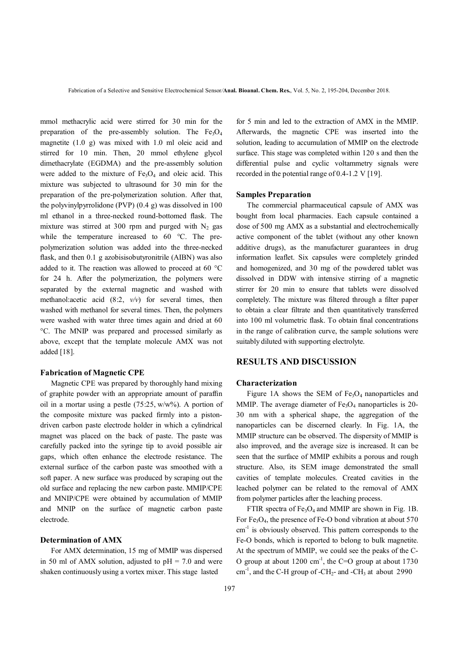mmol methacrylic acid were stirred for 30 min for the preparation of the pre-assembly solution. The  $Fe<sub>3</sub>O<sub>4</sub>$ magnetite (1.0 g) was mixed with 1.0 ml oleic acid and stirred for 10 min. Then, 20 mmol ethylene glycol dimethacrylate (EGDMA) and the pre-assembly solution were added to the mixture of  $Fe<sub>3</sub>O<sub>4</sub>$  and oleic acid. This mixture was subjected to ultrasound for 30 min for the preparation of the pre-polymerization solution. After that, the polyvinylpyrrolidone (PVP) (0.4 g) was dissolved in 100 ml ethanol in a three-necked round-bottomed flask. The mixture was stirred at 300 rpm and purged with  $N_2$  gas while the temperature increased to 60 °C. The prepolymerization solution was added into the three-necked flask, and then 0.1 g azobisisobutyronitrile (AIBN) was also added to it. The reaction was allowed to proceed at 60 °C for 24 h. After the polymerization, the polymers were separated by the external magnetic and washed with methanol:acetic acid (8:2, *v/v*) for several times, then washed with methanol for several times. Then, the polymers were washed with water three times again and dried at 60 °C. The MNIP was prepared and processed similarly as above, except that the template molecule AMX was not added [18].

### **Fabrication of Magnetic CPE**

 Magnetic CPE was prepared by thoroughly hand mixing of graphite powder with an appropriate amount of paraffin oil in a mortar using a pestle  $(75:25, w/w\%)$ . A portion of the composite mixture was packed firmly into a pistondriven carbon paste electrode holder in which a cylindrical magnet was placed on the back of paste. The paste was carefully packed into the syringe tip to avoid possible air gaps, which often enhance the electrode resistance. The external surface of the carbon paste was smoothed with a soft paper. A new surface was produced by scraping out the old surface and replacing the new carbon paste. MMIP/CPE and MNIP/CPE were obtained by accumulation of MMIP and MNIP on the surface of magnetic carbon paste electrode.

#### **Determination of AMX**

 For AMX determination, 15 mg of MMIP was dispersed in 50 ml of AMX solution, adjusted to  $pH = 7.0$  and were shaken continuously using a vortex mixer. This stage lasted

for 5 min and led to the extraction of AMX in the MMIP. Afterwards, the magnetic CPE was inserted into the solution, leading to accumulation of MMIP on the electrode surface. This stage was completed within 120 s and then the differential pulse and cyclic voltammetry signals were recorded in the potential range of 0.4-1.2 V [19].

#### **Samples Preparation**

 The commercial pharmaceutical capsule of AMX was bought from local pharmacies. Each capsule contained a dose of 500 mg AMX as a substantial and electrochemically active component of the tablet (without any other known additive drugs), as the manufacturer guarantees in drug information leaflet. Six capsules were completely grinded and homogenized, and 30 mg of the powdered tablet was dissolved in DDW with intensive stirring of a magnetic stirrer for 20 min to ensure that tablets were dissolved completely. The mixture was filtered through a filter paper to obtain a clear filtrate and then quantitatively transferred into 100 ml volumetric flask. To obtain final concentrations in the range of calibration curve, the sample solutions were suitably diluted with supporting electrolyte.

## **RESULTS AND DISCUSSION**

#### **Characterization**

Figure 1A shows the SEM of  $Fe<sub>3</sub>O<sub>4</sub>$  nanoparticles and MMIP. The average diameter of  $Fe<sub>3</sub>O<sub>4</sub>$  nanoparticles is 20-30 nm with a spherical shape, the aggregation of the nanoparticles can be discerned clearly. In Fig. 1A, the MMIP structure can be observed. The dispersity of MMIP is also improved, and the average size is increased. It can be seen that the surface of MMIP exhibits a porous and rough structure. Also, its SEM image demonstrated the small cavities of template molecules. Created cavities in the leached polymer can be related to the removal of AMX from polymer particles after the leaching process.

FTIR spectra of  $Fe<sub>3</sub>O<sub>4</sub>$  and MMIP are shown in Fig. 1B. For Fe<sub>3</sub>O<sub>4</sub>, the presence of Fe-O bond vibration at about 570 cm<sup>-1</sup> is obviously observed. This pattern corresponds to the Fe-O bonds, which is reported to belong to bulk magnetite. At the spectrum of MMIP, we could see the peaks of the C-O group at about  $1200 \text{ cm}^{-1}$ , the C=O group at about  $1730$  $cm^{-1}$ , and the C-H group of -CH<sub>2</sub>- and -CH<sub>3</sub> at about 2990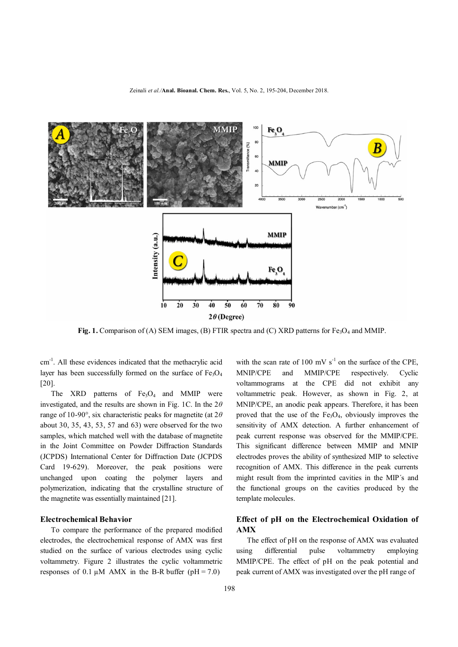

Fig. 1. Comparison of (A) SEM images, (B) FTIR spectra and (C) XRD patterns for Fe<sub>3</sub>O<sub>4</sub> and MMIP.

cm<sup>-1</sup>. All these evidences indicated that the methacrylic acid layer has been successfully formed on the surface of  $Fe<sub>3</sub>O<sub>4</sub>$ [20].

The XRD patterns of  $Fe<sub>3</sub>O<sub>4</sub>$  and MMIP were investigated, and the results are shown in Fig. 1C. In the 2*θ* range of 10-90°, six characteristic peaks for magnetite (at 2*θ* about 30, 35, 43, 53, 57 and 63) were observed for the two samples, which matched well with the database of magnetite in the Joint Committee on Powder Diffraction Standards (JCPDS) International Center for Diffraction Date (JCPDS Card 19-629). Moreover, the peak positions were unchanged upon coating the polymer layers and polymerization, indicating that the crystalline structure of the magnetite was essentially maintained [21].

### **Electrochemical Behavior**

 To compare the performance of the prepared modified electrodes, the electrochemical response of AMX was first studied on the surface of various electrodes using cyclic voltammetry. Figure 2 illustrates the cyclic voltammetric responses of 0.1  $\mu$ M AMX in the B-R buffer (pH = 7.0)

with the scan rate of 100 mV  $s^{-1}$  on the surface of the CPE, MNIP/CPE and MMIP/CPE respectively. Cyclic voltammograms at the CPE did not exhibit any voltammetric peak. However, as shown in Fig. 2, at MNIP/CPE, an anodic peak appears. Therefore, it has been proved that the use of the  $Fe<sub>3</sub>O<sub>4</sub>$ , obviously improves the sensitivity of AMX detection. A further enhancement of peak current response was observed for the MMIP/CPE. This significant difference between MMIP and MNIP electrodes proves the ability of synthesized MIP to selective recognition of AMX. This difference in the peak currents might result from the imprinted cavities in the MIP´s and the functional groups on the cavities produced by the template molecules.

# **Effect of pH on the Electrochemical Oxidation of AMX**

 The effect of pH on the response of AMX was evaluated using differential pulse voltammetry employing MMIP/CPE. The effect of pH on the peak potential and peak current of AMX was investigated over the pH range of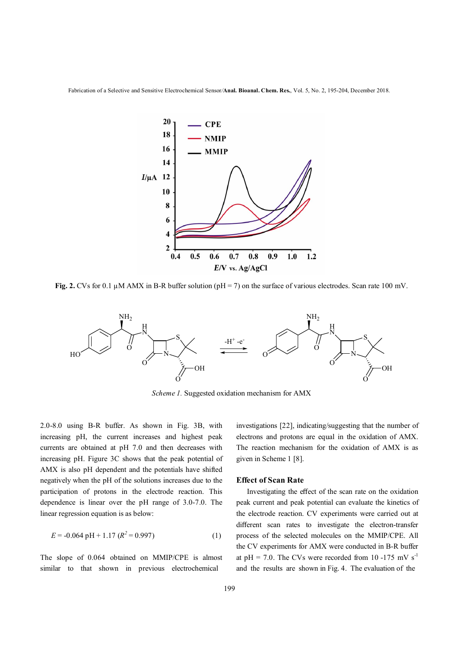Fabrication of a Selective and Sensitive Electrochemical Sensor*/***Anal. Bioanal. Chem. Res.**, Vol. 5, No. 2, 195-204, December 2018.



**Fig. 2.** CVs for 0.1 µM AMX in B-R buffer solution (pH = 7) on the surface of various electrodes. Scan rate 100 mV.



*Scheme 1.* Suggested oxidation mechanism for AMX

2.0-8.0 using B-R buffer. As shown in Fig. 3B, with increasing pH, the current increases and highest peak currents are obtained at pH 7.0 and then decreases with increasing pH. Figure 3C shows that the peak potential of AMX is also pH dependent and the potentials have shifted negatively when the pH of the solutions increases due to the participation of protons in the electrode reaction. This dependence is linear over the pH range of 3.0-7.0. The linear regression equation is as below:

$$
E = -0.064 \text{ pH} + 1.17 \text{ (}R^2 = 0.997\text{)}
$$
 (1)

The slope of 0.064 obtained on MMIP/CPE is almost similar to that shown in previous electrochemical

investigations [22], indicating/suggesting that the number of electrons and protons are equal in the oxidation of AMX. The reaction mechanism for the oxidation of AMX is as given in Scheme 1 [8].

#### **Effect of Scan Rate**

 Investigating the effect of the scan rate on the oxidation peak current and peak potential can evaluate the kinetics of the electrode reaction. CV experiments were carried out at different scan rates to investigate the electron-transfer process of the selected molecules on the MMIP/CPE. All the CV experiments for AMX were conducted in B-R buffer at pH = 7.0. The CVs were recorded from 10 -175 mV  $s^{-1}$ and the results are shown in Fig. 4. The evaluation of the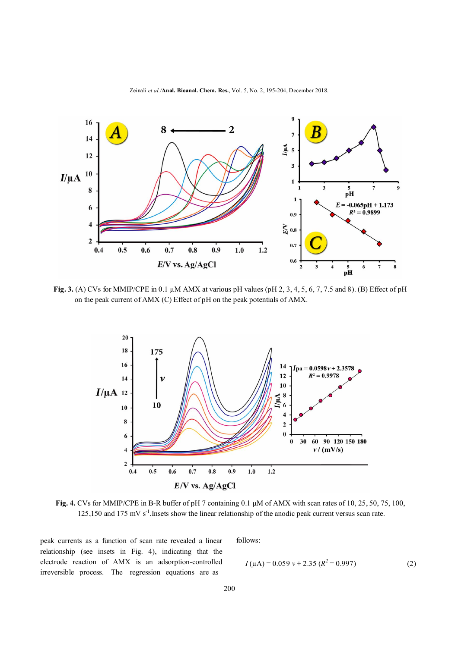

**Fig. 3.** (A) CVs for MMIP/CPE in 0.1 µM AMX at various pH values (pH 2, 3, 4, 5, 6, 7, 7.5 and 8). (B) Effect of pH on the peak current of AMX (C) Effect of pH on the peak potentials of AMX.



**Fig. 4.** CVs for MMIP/CPE in B-R buffer of pH 7 containing 0.1 μM of AMX with scan rates of 10, 25, 50, 75, 100, 125,150 and 175 mV s<sup>-1</sup>. Insets show the linear relationship of the anodic peak current versus scan rate.

peak currents as a function of scan rate revealed a linear relationship (see insets in Fig. 4), indicating that the electrode reaction of AMX is an adsorption-controlled irreversible process. The regression equations are as

follows:

$$
I(\mu A) = 0.059 \nu + 2.35 (R^2 = 0.997)
$$
 (2)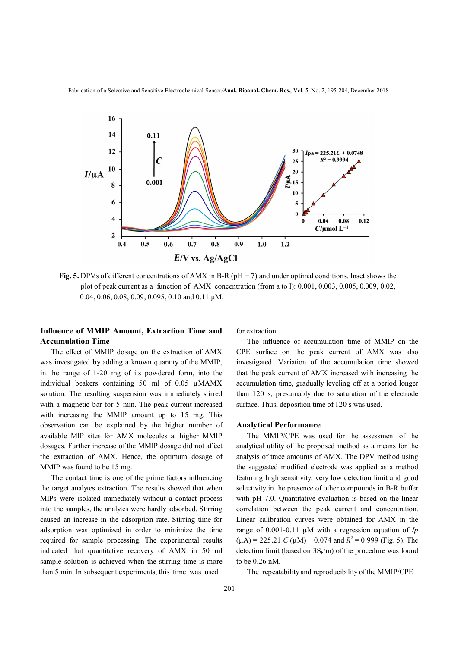Fabrication of a Selective and Sensitive Electrochemical Sensor*/***Anal. Bioanal. Chem. Res.**, Vol. 5, No. 2, 195-204, December 2018.



**Fig. 5.** DPVs of different concentrations of AMX in B-R (pH = 7) and under optimal conditions. Inset shows the plot of peak current as a function of AMX concentration (from a to l): 0.001, 0.003, 0.005, 0.009, 0.02, 0.04, 0.06, 0.08, 0.09, 0.095, 0.10 and 0.11 μM.

# **Influence of MMIP Amount, Extraction Time and Accumulation Time**

 The effect of MMIP dosage on the extraction of AMX was investigated by adding a known quantity of the MMIP, in the range of 1-20 mg of its powdered form, into the individual beakers containing 50 ml of 0.05 µMAMX solution. The resulting suspension was immediately stirred with a magnetic bar for 5 min. The peak current increased with increasing the MMIP amount up to 15 mg. This observation can be explained by the higher number of available MIP sites for AMX molecules at higher MMIP dosages. Further increase of the MMIP dosage did not affect the extraction of AMX. Hence, the optimum dosage of MMIP was found to be 15 mg.

 The contact time is one of the prime factors influencing the target analytes extraction. The results showed that when MIPs were isolated immediately without a contact process into the samples, the analytes were hardly adsorbed. Stirring caused an increase in the adsorption rate. Stirring time for adsorption was optimized in order to minimize the time required for sample processing. The experimental results indicated that quantitative recovery of AMX in 50 ml sample solution is achieved when the stirring time is more than 5 min. In subsequent experiments, this time was used

for extraction.

 The influence of accumulation time of MMIP on the CPE surface on the peak current of AMX was also investigated. Variation of the accumulation time showed that the peak current of AMX increased with increasing the accumulation time, gradually leveling off at a period longer than 120 s, presumably due to saturation of the electrode surface. Thus, deposition time of 120 s was used.

### **Analytical Performance**

 The MMIP/CPE was used for the assessment of the analytical utility of the proposed method as a means for the analysis of trace amounts of AMX. The DPV method using the suggested modified electrode was applied as a method featuring high sensitivity, very low detection limit and good selectivity in the presence of other compounds in B-R buffer with pH 7.0. Quantitative evaluation is based on the linear correlation between the peak current and concentration. Linear calibration curves were obtained for AMX in the range of 0.001-0.11 µM with a regression equation of *Ip*   $(\mu A)$  = 225.21 *C* ( $\mu$ M) + 0.074 and  $R^2$  = 0.999 (Fig. 5). The detection limit (based on  $3S_b/m$ ) of the procedure was found to be 0.26 nM.

The repeatability and reproducibility of the MMIP/CPE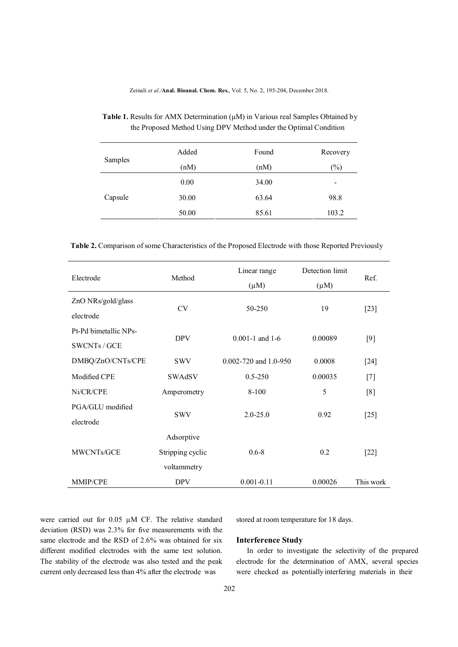| Samples | Added | Found | Recovery |
|---------|-------|-------|----------|
|         | (nM)  | (nM)  | $(\%)$   |
| Capsule | 0.00  | 34.00 | -        |
|         | 30.00 | 63.64 | 98.8     |
|         | 50.00 | 85.61 | 103.2    |

# **Table 1.** Results for AMX Determination (μM) in Various real Samples Obtained by the Proposed Method Using DPV Method under the Optimal Condition

 **Table 2.** Comparison of some Characteristics of the Proposed Electrode with those Reported Previously

| Electrode             | Method           | Linear range            | Detection limit | Ref.      |
|-----------------------|------------------|-------------------------|-----------------|-----------|
|                       |                  | $(\mu M)$               | $(\mu M)$       |           |
| ZnO NRs/gold/glass    | <b>CV</b>        | 50-250                  | 19              | $[23]$    |
| electrode             |                  |                         |                 |           |
| Pt-Pd bimetallic NPs- | <b>DPV</b>       | $0.001 - 1$ and $1 - 6$ | 0.00089         | [9]       |
| <b>SWCNTs / GCE</b>   |                  |                         |                 |           |
| DMBQ/ZnO/CNTs/CPE     | <b>SWV</b>       | 0.002-720 and 1.0-950   | 0.0008          | $[24]$    |
| Modified CPE          | SWAdSV           | $0.5 - 250$             | 0.00035         | $[7]$     |
| Ni/CR/CPE             | Amperometry      | 8-100                   | 5               | [8]       |
| PGA/GLU modified      |                  | $2.0 - 25.0$            | 0.92            | $[25]$    |
| electrode             | <b>SWV</b>       |                         |                 |           |
|                       | Adsorptive       |                         |                 |           |
| MWCNTs/GCE            | Stripping cyclic | $0.6 - 8$               | 0.2             | $[22]$    |
|                       | voltammetry      |                         |                 |           |
| MMIP/CPE              | <b>DPV</b>       | $0.001 - 0.11$          | 0.00026         | This work |

were carried out for 0.05 µM CF. The relative standard deviation (RSD) was 2.3% for five measurements with the same electrode and the RSD of 2.6% was obtained for six different modified electrodes with the same test solution. The stability of the electrode was also tested and the peak current only decreased less than 4% after the electrode was

stored at room temperature for 18 days.

### **Interference Study**

 In order to investigate the selectivity of the prepared electrode for the determination of AMX, several species were checked as potentially interfering materials in their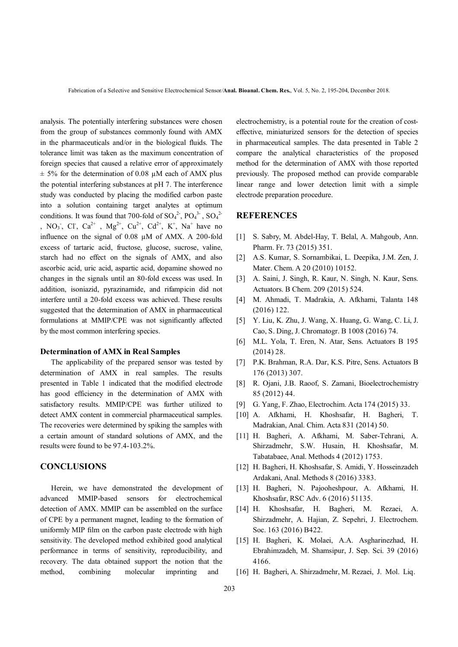analysis. The potentially interfering substances were chosen from the group of substances commonly found with AMX in the pharmaceuticals and/or in the biological fluids. The tolerance limit was taken as the maximum concentration of foreign species that caused a relative error of approximately  $\pm$  5% for the determination of 0.08  $\mu$ M each of AMX plus the potential interfering substances at pH 7. The interference study was conducted by placing the modified carbon paste into a solution containing target analytes at optimum conditions. It was found that 700-fold of  $SO_4^2$ ,  $PO_4^3$ ,  $SO_4^2$ , NO<sub>3</sub>, Cl, Ca<sup>2+</sup>, Mg<sup>2+</sup>, Cu<sup>2+</sup>, Cd<sup>2+</sup>, K<sup>+</sup>, Na<sup>+</sup> have no influence on the signal of 0.08 µM of AMX. A 200-fold excess of tartaric acid, fructose, glucose, sucrose, valine, starch had no effect on the signals of AMX, and also ascorbic acid, uric acid, aspartic acid, dopamine showed no changes in the signals until an 80-fold excess was used. In addition, isoniazid, pyrazinamide, and rifampicin did not interfere until a 20-fold excess was achieved. These results suggested that the determination of AMX in pharmaceutical formulations at MMIP/CPE was not significantly affected by the most common interfering species.

### **Determination of AMX in Real Samples**

The applicability of the prepared sensor was tested by determination of AMX in real samples. The results presented in Table 1 indicated that the modified electrode has good efficiency in the determination of AMX with satisfactory results. MMIP/CPE was further utilized to detect AMX content in commercial pharmaceutical samples. The recoveries were determined by spiking the samples with a certain amount of standard solutions of AMX, and the results were found to be 97.4-103.2%.

## **CONCLUSIONS**

 Herein, we have demonstrated the development of advanced MMIP-based sensors for electrochemical detection of AMX. MMIP can be assembled on the surface of CPE by a permanent magnet, leading to the formation of uniformly MIP film on the carbon paste electrode with high sensitivity. The developed method exhibited good analytical performance in terms of sensitivity, reproducibility, and recovery. The data obtained support the notion that the method, combining molecular imprinting and

electrochemistry, is a potential route for the creation of costeffective, miniaturized sensors for the detection of species in pharmaceutical samples. The data presented in Table 2 compare the analytical characteristics of the proposed method for the determination of AMX with those reported previously. The proposed method can provide comparable linear range and lower detection limit with a simple electrode preparation procedure.

### **REFERENCES**

- [1] S. Sabry, M. Abdel-Hay, T. Belal, A. Mahgoub, Ann. Pharm. Fr. 73 (2015) 351.
- [2] A.S. Kumar, S. Sornambikai, L. Deepika, J.M. Zen, J. Mater. Chem. A 20 (2010) 10152.
- [3] A. Saini, J. Singh, R. Kaur, N. Singh, N. Kaur, Sens. Actuators. B Chem. 209 (2015) 524.
- [4] M. Ahmadi, T. Madrakia, A. Afkhami, Talanta 148 (2016) 122.
- [5] Y. Liu, K. Zhu, J. Wang, X. Huang, G. Wang, C. Li, J. Cao, S. Ding, J. Chromatogr. B 1008 (2016) 74.
- [6] M.L. Yola, T. Eren, N. Atar, Sens. Actuators B 195 (2014) 28.
- [7] P.K. Brahman, R.A. Dar, K.S. Pitre, Sens. Actuators B 176 (2013) 307.
- [8] R. Ojani, J.B. Raoof, S. Zamani, Bioelectrochemistry 85 (2012) 44.
- [9] G. Yang, F. Zhao, Electrochim. Acta 174 (2015) 33.
- [10] A. Afkhami, H. Khoshsafar, H. Bagheri, T. Madrakian, Anal. Chim. Acta 831 (2014) 50.
- [11] H. Bagheri, A. Afkhami, M. Saber-Tehrani, A. Shirzadmehr, S.W. Husain, H. Khoshsafar, M. Tabatabaee, Anal. Methods 4 (2012) 1753.
- [12] H. Bagheri, H. Khoshsafar, S. Amidi, Y. Hosseinzadeh Ardakani, Anal. Methods 8 (2016) 3383.
- [13] H. Bagheri, N. Pajooheshpour, A. Afkhami, H. Khoshsafar, RSC Adv. 6 (2016) 51135.
- [14] H. Khoshsafar, H. Bagheri, M. Rezaei, A. Shirzadmehr, A. Hajian, Z. Sepehri, J. Electrochem. Soc. 163 (2016) B422.
- [15] H. Bagheri, K. Molaei, A.A. Asgharinezhad, H. Ebrahimzadeh, M. Shamsipur, J. Sep. Sci. 39 (2016) 4166.
- [16] H. Bagheri, A. Shirzadmehr, M. Rezaei, J. Mol. Liq.